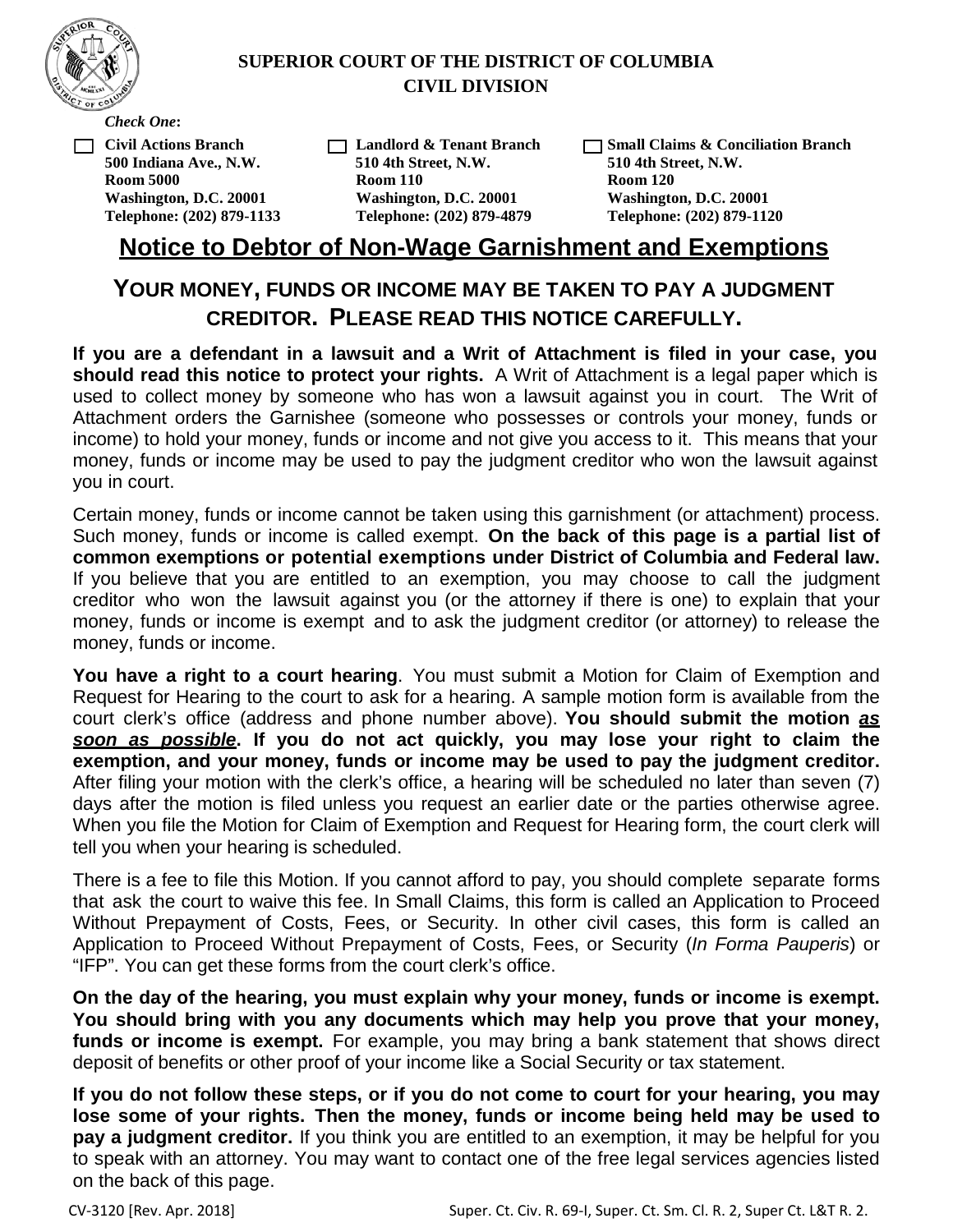

#### **SUPERIOR COURT OF THE DISTRICT OF COLUMBIA CIVIL DIVISION**

*Check One***:**

□ **Civil Actions Branch 500 Indiana Ave., N.W. Room 5000 Washington, D.C. 20001 Telephone: (202) 879-1133**

□ **Landlord & Tenant Branch 510 4th Street, N.W. Room 110 Washington, D.C. 20001 Telephone: (202) 879-4879**

□ **Small Claims & Conciliation Branch 510 4th Street, N.W. Room 120 Washington, D.C. 20001 Telephone: (202) 879-1120**

## **Notice to Debtor of Non-Wage Garnishment and Exemptions**

# **YOUR MONEY, FUNDS OR INCOME MAY BE TAKEN TO PAY A JUDGMENT CREDITOR. PLEASE READ THIS NOTICE CAREFULLY.**

**If you are a defendant in a lawsuit and a Writ of Attachment is filed in your case, you should read this notice to protect your rights.** A Writ of Attachment is a legal paper which is used to collect money by someone who has won a lawsuit against you in court. The Writ of Attachment orders the Garnishee (someone who possesses or controls your money, funds or income) to hold your money, funds or income and not give you access to it. This means that your money, funds or income may be used to pay the judgment creditor who won the lawsuit against you in court.

Certain money, funds or income cannot be taken using this garnishment (or attachment) process. Such money, funds or income is called exempt. **On the back of this page is a partial list of common exemptions or potential exemptions under District of Columbia and Federal law.** If you believe that you are entitled to an exemption, you may choose to call the judgment creditor who won the lawsuit against you (or the attorney if there is one) to explain that your money, funds or income is exempt and to ask the judgment creditor (or attorney) to release the money, funds or income.

**You have a right to a court hearing**. You must submit a Motion for Claim of Exemption and Request for Hearing to the court to ask for a hearing. A sample motion form is available from the court clerk's office (address and phone number above). **You should submit the motion** *as soon as possible***. If you do not act quickly, you may lose your right to claim the exemption, and your money, funds or income may be used to pay the judgment creditor.** After filing your motion with the clerk's office, a hearing will be scheduled no later than seven (7) days after the motion is filed unless you request an earlier date or the parties otherwise agree. When you file the Motion for Claim of Exemption and Request for Hearing form, the court clerk will tell you when your hearing is scheduled.

There is a fee to file this Motion. If you cannot afford to pay, you should complete separate forms that ask the court to waive this fee. In Small Claims, this form is called an Application to Proceed Without Prepayment of Costs, Fees, or Security. In other civil cases, this form is called an Application to Proceed Without Prepayment of Costs, Fees, or Security (*In Forma Pauperis*) or "IFP". You can get these forms from the court clerk's office.

**On the day of the hearing, you must explain why your money, funds or income is exempt. You should bring with you any documents which may help you prove that your money, funds or income is exempt.** For example, you may bring a bank statement that shows direct deposit of benefits or other proof of your income like a Social Security or tax statement.

If you do not follow these steps, or if you do not come to court for your hearing, you may **lose some of your rights. Then the money, funds or income being held may be used to pay a judgment creditor.** If you think you are entitled to an exemption, it may be helpful for you to speak with an attorney. You may want to contact one of the free legal services agencies listed on the back of this page.